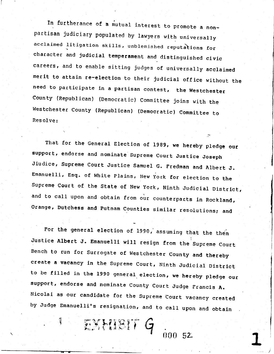In furtherance of a mutual interest to promote a nonpartisan judiciary populated by lawyers with universally acclaimed litigation skills, unblemished reputations for character and judicial temperament and distinguished civic careers, and to enable sitting judges of universally acclaimed merit to attain re-election to their judicial office without the need to participate in a partisan contest, the Westchester County (Republican) (Democratic) Committee joins with the Westchester County (Republican) (Democratic) Committee to Resolve:

That for the General Election of 1989, we hereby pledge our support, endorse and nominate Supreme Court Justice Joseph Jiudice, Supreme Court Justice Samuel G. Fredman and Albert J. Emanuelli, Esq. of White Plains, New York for election to the Supreme Court of the State of New York, Ninth Judicial District, and to call upon and obtain from our counterparts in Rockland, Orange, Dutchess and Putnam Counties similar resolutions; and

For the general election of 1990, assuming that the then Justice Albert J. Emanuelli will resign from the Supreme Court Bench to run for Surrogate of Westchester County and thereby create a vacancy in the Supreme Court, Ninth Judicial District to be filled in the 1990 general election, we hereby pledge our support, endorse and nominate County Court Judge Francis A. Nicolai as our candidate for the Supreme Court vacancy created by Judge Emanuelli's resignation, and to call upon and obtain

 $00052$ 

EXHIBIT G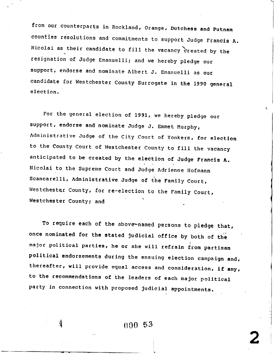from our counterparts in Rockland, Orange, Dutchess and Putnam counties resolutions and commitments to support Judge Francis A. Nicolai as their candidate to fill the vacancy created by the resignation of Judge Emanuelli; and we hereby pledge our support, endorse and nominate Albert J. Emanuelli as our candidate for Westchester County Surrogate in the 1990 general election.

For the general election of 1991, we hereby pledge our support, endorse and nominate Judge J. Emmet Murphy, Administrative Judge of the City Court of Yonkers, for election to the County Court of Westchester County to fill the vacancy anticipated to be created by the election of Judge Francis A. Nicolai to the Supreme Court and Judge Adrienne Hofmann Scancarelli, Administrative Judge of the Family Court, Westchester County, for re-election to the Family Court, Westchester County; and

To require each of the above-named persons to pledge that, once nominated for the stated judicial office by both of the major political parties, he or she will refrain from partisan political endorsements during the ensuing election campaign and, thereafter, will provide equal access and consideration, if any, to the recommendations of the leaders of each major political party in connection with proposed judicial appointments.

000 53